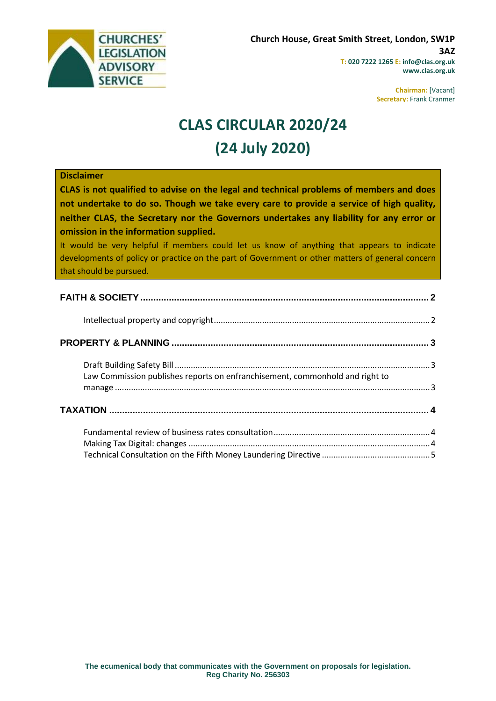

**Chairman:** [Vacant] **Secretary:** Frank Cranmer

# **CLAS CIRCULAR 2020/24 (24 July 2020)**

#### **Disclaimer**

**CLAS is not qualified to advise on the legal and technical problems of members and does not undertake to do so. Though we take every care to provide a service of high quality, neither CLAS, the Secretary nor the Governors undertakes any liability for any error or omission in the information supplied.**

It would be very helpful if members could let us know of anything that appears to indicate developments of policy or practice on the part of Government or other matters of general concern that should be pursued.

| Law Commission publishes reports on enfranchisement, commonhold and right to |  |
|------------------------------------------------------------------------------|--|
|                                                                              |  |
|                                                                              |  |
|                                                                              |  |
|                                                                              |  |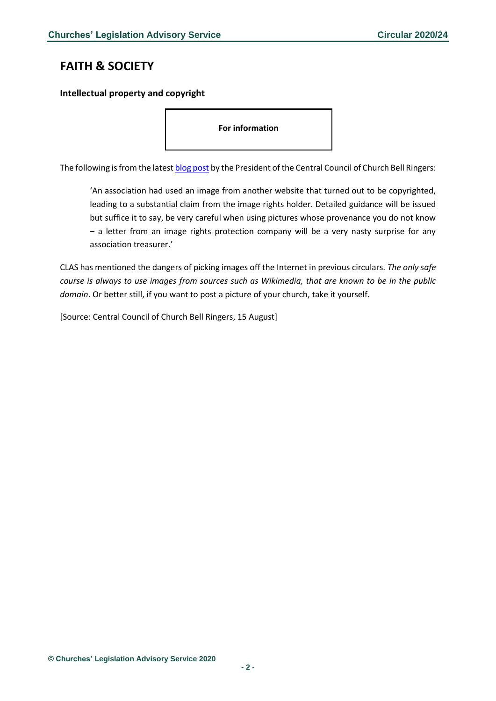# <span id="page-1-0"></span>**FAITH & SOCIETY**

<span id="page-1-1"></span>**Intellectual property and copyright**

**For information**

The following is from the lates[t blog post](https://cccbr.org.uk/2020/07/21/presidents-blog-14/) by the President of the Central Council of Church Bell Ringers:

'An association had used an image from another website that turned out to be copyrighted, leading to a substantial claim from the image rights holder. Detailed guidance will be issued but suffice it to say, be very careful when using pictures whose provenance you do not know – a letter from an image rights protection company will be a very nasty surprise for any association treasurer.'

CLAS has mentioned the dangers of picking images off the Internet in previous circulars. *The only safe course is always to use images from sources such as Wikimedia, that are known to be in the public domain*. Or better still, if you want to post a picture of your church, take it yourself.

[Source: Central Council of Church Bell Ringers, 15 August]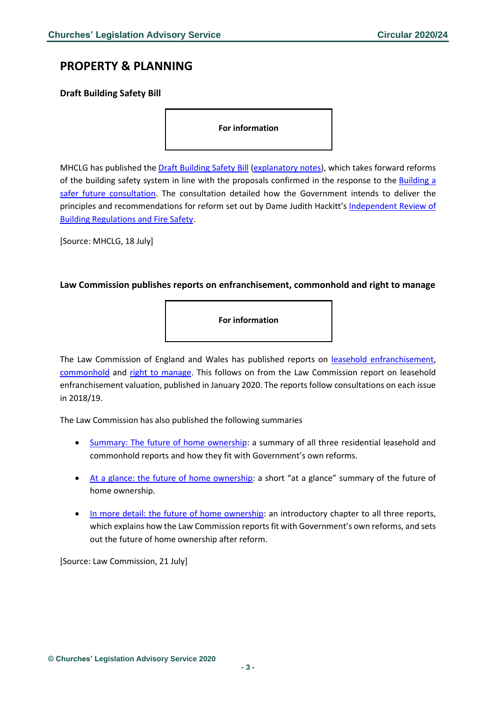# <span id="page-2-0"></span>**PROPERTY & PLANNING**

## <span id="page-2-1"></span>**Draft Building Safety Bill**

**For information**

MHCLG has published the [Draft Building Safety Bill](https://assets.publishing.service.gov.uk/government/uploads/system/uploads/attachment_data/file/901867/Draft_Building_Safety_Bill_Web.pdf) [\(explanatory notes\)](https://assets.publishing.service.gov.uk/government/uploads/system/uploads/attachment_data/file/901869/Draft_Building_Safety_Bill_PART_2.pdf), which takes forward reforms of the building safety system in line with the proposals confirmed in the response to the [Building a](https://www.gov.uk/government/consultations/building-a-safer-future-proposals-for-reform-of-the-building-safety-regulatory-system)  [safer future consultation.](https://www.gov.uk/government/consultations/building-a-safer-future-proposals-for-reform-of-the-building-safety-regulatory-system) The consultation detailed how the Government intends to deliver the principles and recommendations for reform set out by Dame Judith Hackitt's [Independent Review of](https://www.gov.uk/government/publications/independent-review-of-building-regulations-and-fire-safety-final-report)  [Building Regulations and Fire Safety.](https://www.gov.uk/government/publications/independent-review-of-building-regulations-and-fire-safety-final-report)

[Source: MHCLG, 18 July]

### <span id="page-2-2"></span>**Law Commission publishes reports on enfranchisement, commonhold and right to manage**

**For information**

The Law Commission of England and Wales has published reports on [leasehold enfranchisement,](https://www.lawcom.gov.uk/project/leasehold-enfranchisement/) [commonhold](https://www.lawcom.gov.uk/project/commonhold/) and [right to manage.](https://www.lawcom.gov.uk/project/right-to-manage/) This follows on from the Law Commission report on leasehold enfranchisement valuation, published in January 2020. The reports follow consultations on each issue in 2018/19.

The Law Commission has also published the following summaries

- [Summary: The future of home ownership:](https://s3-eu-west-2.amazonaws.com/lawcom-prod-storage-11jsxou24uy7q/uploads/2020/07/Summary-The-Future-of-Home-Ownership-final-N2.pdf) a summary of all three residential leasehold and commonhold reports and how they fit with Government's own reforms.
- [At a glance: the future of home ownership:](https://s3-eu-west-2.amazonaws.com/lawcom-prod-storage-11jsxou24uy7q/uploads/2020/07/At-a-glance-The-Future-of-Home-Ownership-final-N1.pdf) a short "at a glance" summary of the future of home ownership.
- [In more detail: the future of home ownership:](https://s3-eu-west-2.amazonaws.com/lawcom-prod-storage-11jsxou24uy7q/uploads/2020/07/In-more-detail---The-Future-of-Home-Ownership---final-N3.pdf) an introductory chapter to all three reports, which explains how the Law Commission reports fit with Government's own reforms, and sets out the future of home ownership after reform.

[Source: Law Commission, 21 July]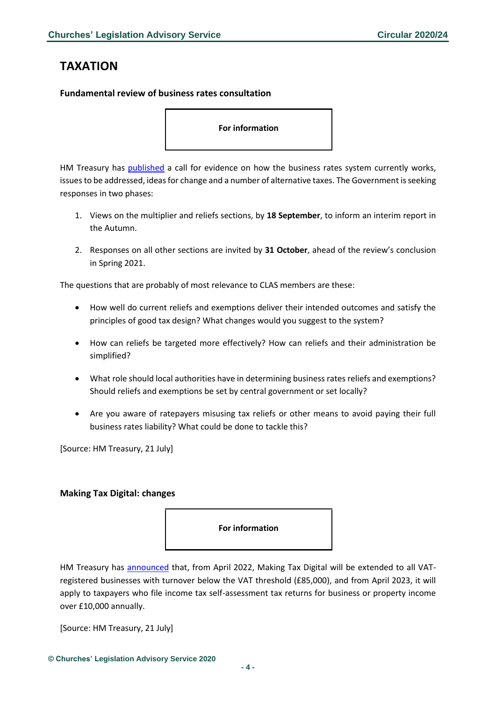# <span id="page-3-0"></span>**TAXATION**

### <span id="page-3-1"></span>**Fundamental review of business rates consultation**

**For information**

HM Treasury has [published](https://assets.publishing.service.gov.uk/government/uploads/system/uploads/attachment_data/file/902378/Business_Rates_Review_-_CfE.pdf) a call for evidence on how the business rates system currently works, issues to be addressed, ideas for change and a number of alternative taxes. The Government is seeking responses in two phases:

- 1. Views on the multiplier and reliefs sections, by **18 September**, to inform an interim report in the Autumn.
- 2. Responses on all other sections are invited by **31 October**, ahead of the review's conclusion in Spring 2021.

The questions that are probably of most relevance to CLAS members are these:

- How well do current reliefs and exemptions deliver their intended outcomes and satisfy the principles of good tax design? What changes would you suggest to the system?
- How can reliefs be targeted more effectively? How can reliefs and their administration be simplified?
- What role should local authorities have in determining business rates reliefs and exemptions? Should reliefs and exemptions be set by central government or set locally?
- Are you aware of ratepayers misusing tax reliefs or other means to avoid paying their full business rates liability? What could be done to tackle this?

[Source: HM Treasury, 21 July]

### <span id="page-3-2"></span>**Making Tax Digital: changes**



HM Treasury has [announced](https://www.gov.uk/government/news/government-sets-out-draft-agenda-for-a-21st-century-tax-system) that, from April 2022, Making Tax Digital will be extended to all VATregistered businesses with turnover below the VAT threshold (£85,000), and from April 2023, it will apply to taxpayers who file income tax self-assessment tax returns for business or property income over £10,000 annually.

[Source: HM Treasury, 21 July]